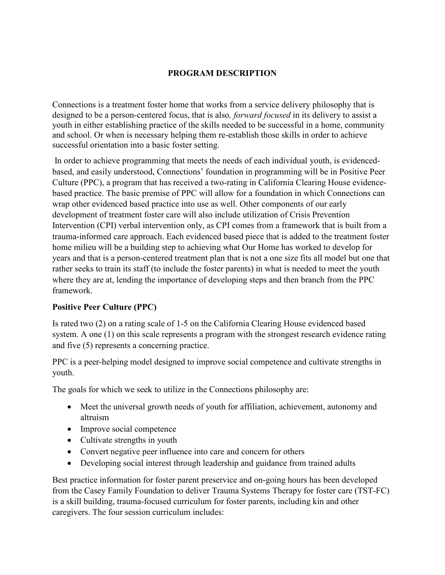## **PROGRAM DESCRIPTION**

Connections is a treatment foster home that works from a service delivery philosophy that is designed to be a person-centered focus, that is also*, forward focused* in its delivery to assist a youth in either establishing practice of the skills needed to be successful in a home, community and school. Or when is necessary helping them re-establish those skills in order to achieve successful orientation into a basic foster setting.

In order to achieve programming that meets the needs of each individual youth, is evidencedbased, and easily understood, Connections' foundation in programming will be in Positive Peer Culture (PPC), a program that has received a two-rating in California Clearing House evidencebased practice. The basic premise of PPC will allow for a foundation in which Connections can wrap other evidenced based practice into use as well. Other components of our early development of treatment foster care will also include utilization of Crisis Prevention Intervention (CPI) verbal intervention only, as CPI comes from a framework that is built from a trauma-informed care approach. Each evidenced based piece that is added to the treatment foster home milieu will be a building step to achieving what Our Home has worked to develop for years and that is a person-centered treatment plan that is not a one size fits all model but one that rather seeks to train its staff (to include the foster parents) in what is needed to meet the youth where they are at, lending the importance of developing steps and then branch from the PPC framework.

## **Positive Peer Culture (PPC)**

Is rated two (2) on a rating scale of 1-5 on the California Clearing House evidenced based system. A one (1) on this scale represents a program with the strongest research evidence rating and five (5) represents a concerning practice.

PPC is a peer-helping model designed to improve social competence and cultivate strengths in youth.

The goals for which we seek to utilize in the Connections philosophy are:

- Meet the universal growth needs of youth for affiliation, achievement, autonomy and altruism
- Improve social competence
- Cultivate strengths in youth
- Convert negative peer influence into care and concern for others
- Developing social interest through leadership and guidance from trained adults

Best practice information for foster parent preservice and on-going hours has been developed from the Casey Family Foundation to deliver Trauma Systems Therapy for foster care (TST-FC) is a skill building, trauma-focused curriculum for foster parents, including kin and other caregivers. The four session curriculum includes: